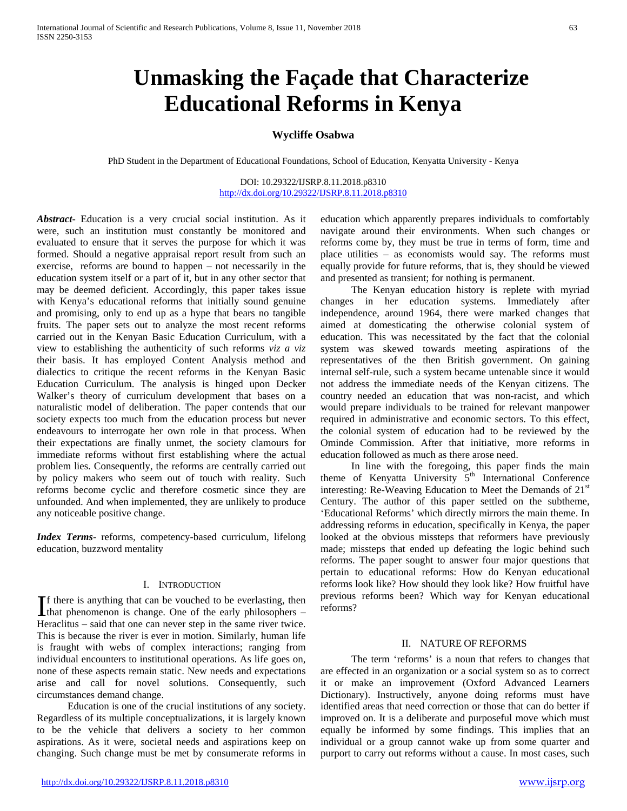# **Unmasking the Façade that Characterize Educational Reforms in Kenya**

# **Wycliffe Osabwa**

PhD Student in the Department of Educational Foundations, School of Education, Kenyatta University - Kenya

DOI: 10.29322/IJSRP.8.11.2018.p8310 <http://dx.doi.org/10.29322/IJSRP.8.11.2018.p8310>

*Abstract***-** Education is a very crucial social institution. As it were, such an institution must constantly be monitored and evaluated to ensure that it serves the purpose for which it was formed. Should a negative appraisal report result from such an exercise, reforms are bound to happen – not necessarily in the education system itself or a part of it, but in any other sector that may be deemed deficient. Accordingly, this paper takes issue with Kenya's educational reforms that initially sound genuine and promising, only to end up as a hype that bears no tangible fruits. The paper sets out to analyze the most recent reforms carried out in the Kenyan Basic Education Curriculum, with a view to establishing the authenticity of such reforms *viz a viz* their basis. It has employed Content Analysis method and dialectics to critique the recent reforms in the Kenyan Basic Education Curriculum. The analysis is hinged upon Decker Walker's theory of curriculum development that bases on a naturalistic model of deliberation. The paper contends that our society expects too much from the education process but never endeavours to interrogate her own role in that process. When their expectations are finally unmet, the society clamours for immediate reforms without first establishing where the actual problem lies. Consequently, the reforms are centrally carried out by policy makers who seem out of touch with reality. Such reforms become cyclic and therefore cosmetic since they are unfounded. And when implemented, they are unlikely to produce any noticeable positive change.

*Index Terms*- reforms, competency-based curriculum, lifelong education, buzzword mentality

## I. INTRODUCTION

f there is anything that can be vouched to be everlasting, then If there is anything that can be vouched to be everlasting, then that phenomenon is change. One of the early philosophers  $-$ Heraclitus – said that one can never step in the same river twice. This is because the river is ever in motion. Similarly, human life is fraught with webs of complex interactions; ranging from individual encounters to institutional operations. As life goes on, none of these aspects remain static. New needs and expectations arise and call for novel solutions. Consequently, such circumstances demand change.

 Education is one of the crucial institutions of any society. Regardless of its multiple conceptualizations, it is largely known to be the vehicle that delivers a society to her common aspirations. As it were, societal needs and aspirations keep on changing. Such change must be met by consumerate reforms in

education which apparently prepares individuals to comfortably navigate around their environments. When such changes or reforms come by, they must be true in terms of form, time and place utilities – as economists would say. The reforms must equally provide for future reforms, that is, they should be viewed and presented as transient; for nothing is permanent.

 The Kenyan education history is replete with myriad changes in her education systems. Immediately after independence, around 1964, there were marked changes that aimed at domesticating the otherwise colonial system of education. This was necessitated by the fact that the colonial system was skewed towards meeting aspirations of the representatives of the then British government. On gaining internal self-rule, such a system became untenable since it would not address the immediate needs of the Kenyan citizens. The country needed an education that was non-racist, and which would prepare individuals to be trained for relevant manpower required in administrative and economic sectors. To this effect, the colonial system of education had to be reviewed by the Ominde Commission. After that initiative, more reforms in education followed as much as there arose need.

 In line with the foregoing, this paper finds the main theme of Kenyatta University 5<sup>th</sup> International Conference interesting: Re-Weaving Education to Meet the Demands of 21<sup>st</sup> Century. The author of this paper settled on the subtheme, 'Educational Reforms' which directly mirrors the main theme. In addressing reforms in education, specifically in Kenya, the paper looked at the obvious missteps that reformers have previously made; missteps that ended up defeating the logic behind such reforms. The paper sought to answer four major questions that pertain to educational reforms: How do Kenyan educational reforms look like? How should they look like? How fruitful have previous reforms been? Which way for Kenyan educational reforms?

#### II. NATURE OF REFORMS

 The term 'reforms' is a noun that refers to changes that are effected in an organization or a social system so as to correct it or make an improvement (Oxford Advanced Learners Dictionary). Instructively, anyone doing reforms must have identified areas that need correction or those that can do better if improved on. It is a deliberate and purposeful move which must equally be informed by some findings. This implies that an individual or a group cannot wake up from some quarter and purport to carry out reforms without a cause. In most cases, such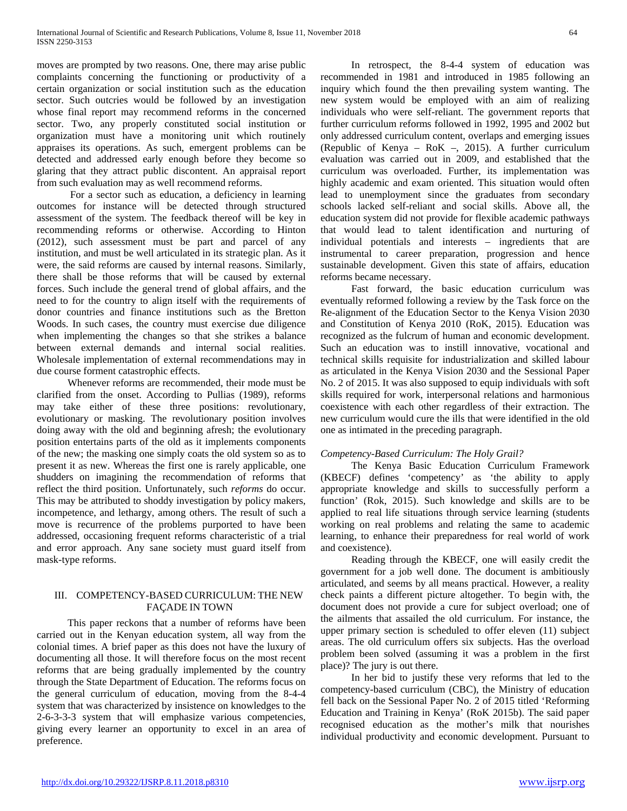moves are prompted by two reasons. One, there may arise public complaints concerning the functioning or productivity of a certain organization or social institution such as the education sector. Such outcries would be followed by an investigation whose final report may recommend reforms in the concerned sector. Two, any properly constituted social institution or organization must have a monitoring unit which routinely appraises its operations. As such, emergent problems can be detected and addressed early enough before they become so glaring that they attract public discontent. An appraisal report from such evaluation may as well recommend reforms.

 For a sector such as education, a deficiency in learning outcomes for instance will be detected through structured assessment of the system. The feedback thereof will be key in recommending reforms or otherwise. According to Hinton (2012), such assessment must be part and parcel of any institution, and must be well articulated in its strategic plan. As it were, the said reforms are caused by internal reasons. Similarly, there shall be those reforms that will be caused by external forces. Such include the general trend of global affairs, and the need to for the country to align itself with the requirements of donor countries and finance institutions such as the Bretton Woods. In such cases, the country must exercise due diligence when implementing the changes so that she strikes a balance between external demands and internal social realities. Wholesale implementation of external recommendations may in due course forment catastrophic effects.

 Whenever reforms are recommended, their mode must be clarified from the onset. According to Pullias (1989), reforms may take either of these three positions: revolutionary, evolutionary or masking. The revolutionary position involves doing away with the old and beginning afresh; the evolutionary position entertains parts of the old as it implements components of the new; the masking one simply coats the old system so as to present it as new. Whereas the first one is rarely applicable, one shudders on imagining the recommendation of reforms that reflect the third position. Unfortunately, such *reforms* do occur. This may be attributed to shoddy investigation by policy makers, incompetence, and lethargy, among others. The result of such a move is recurrence of the problems purported to have been addressed, occasioning frequent reforms characteristic of a trial and error approach. Any sane society must guard itself from mask-type reforms.

## III. COMPETENCY-BASED CURRICULUM: THE NEW FAÇADE IN TOWN

 This paper reckons that a number of reforms have been carried out in the Kenyan education system, all way from the colonial times. A brief paper as this does not have the luxury of documenting all those. It will therefore focus on the most recent reforms that are being gradually implemented by the country through the State Department of Education. The reforms focus on the general curriculum of education, moving from the 8-4-4 system that was characterized by insistence on knowledges to the 2-6-3-3-3 system that will emphasize various competencies, giving every learner an opportunity to excel in an area of preference.

 In retrospect, the 8-4-4 system of education was recommended in 1981 and introduced in 1985 following an inquiry which found the then prevailing system wanting. The new system would be employed with an aim of realizing individuals who were self-reliant. The government reports that further curriculum reforms followed in 1992, 1995 and 2002 but only addressed curriculum content, overlaps and emerging issues (Republic of Kenya – RoK –, 2015). A further curriculum evaluation was carried out in 2009, and established that the curriculum was overloaded. Further, its implementation was highly academic and exam oriented. This situation would often lead to unemployment since the graduates from secondary schools lacked self-reliant and social skills. Above all, the education system did not provide for flexible academic pathways that would lead to talent identification and nurturing of individual potentials and interests – ingredients that are instrumental to career preparation, progression and hence sustainable development. Given this state of affairs, education reforms became necessary.

 Fast forward, the basic education curriculum was eventually reformed following a review by the Task force on the Re-alignment of the Education Sector to the Kenya Vision 2030 and Constitution of Kenya 2010 (RoK, 2015). Education was recognized as the fulcrum of human and economic development. Such an education was to instill innovative, vocational and technical skills requisite for industrialization and skilled labour as articulated in the Kenya Vision 2030 and the Sessional Paper No. 2 of 2015. It was also supposed to equip individuals with soft skills required for work, interpersonal relations and harmonious coexistence with each other regardless of their extraction. The new curriculum would cure the ills that were identified in the old one as intimated in the preceding paragraph.

# *Competency-Based Curriculum: The Holy Grail?*

 The Kenya Basic Education Curriculum Framework (KBECF) defines 'competency' as 'the ability to apply appropriate knowledge and skills to successfully perform a function' (Rok, 2015). Such knowledge and skills are to be applied to real life situations through service learning (students working on real problems and relating the same to academic learning, to enhance their preparedness for real world of work and coexistence).

 Reading through the KBECF, one will easily credit the government for a job well done. The document is ambitiously articulated, and seems by all means practical. However, a reality check paints a different picture altogether. To begin with, the document does not provide a cure for subject overload; one of the ailments that assailed the old curriculum. For instance, the upper primary section is scheduled to offer eleven (11) subject areas. The old curriculum offers six subjects. Has the overload problem been solved (assuming it was a problem in the first place)? The jury is out there.

 In her bid to justify these very reforms that led to the competency-based curriculum (CBC), the Ministry of education fell back on the Sessional Paper No. 2 of 2015 titled 'Reforming Education and Training in Kenya' (RoK 2015b). The said paper recognised education as the mother's milk that nourishes individual productivity and economic development. Pursuant to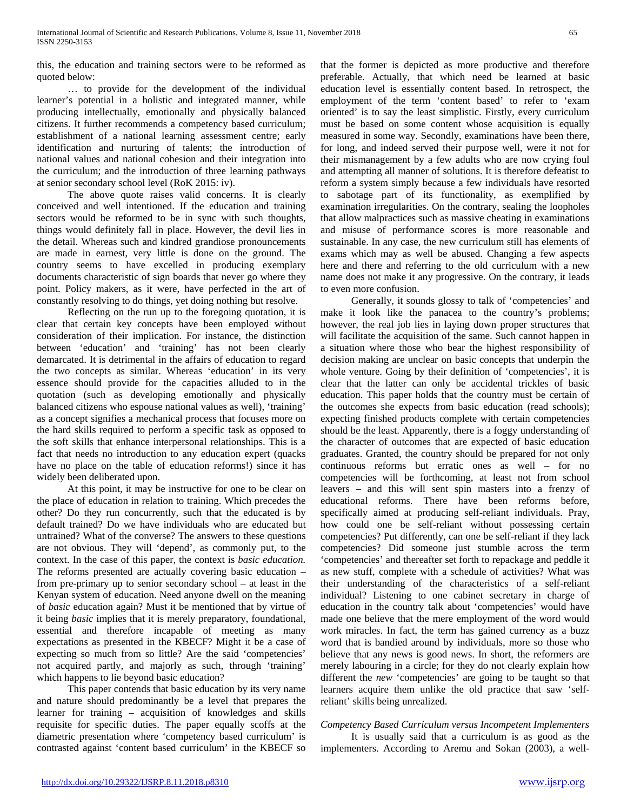this, the education and training sectors were to be reformed as quoted below:

 … to provide for the development of the individual learner's potential in a holistic and integrated manner, while producing intellectually, emotionally and physically balanced citizens. It further recommends a competency based curriculum; establishment of a national learning assessment centre; early identification and nurturing of talents; the introduction of national values and national cohesion and their integration into the curriculum; and the introduction of three learning pathways at senior secondary school level (RoK 2015: iv).

 The above quote raises valid concerns. It is clearly conceived and well intentioned. If the education and training sectors would be reformed to be in sync with such thoughts, things would definitely fall in place. However, the devil lies in the detail. Whereas such and kindred grandiose pronouncements are made in earnest, very little is done on the ground. The country seems to have excelled in producing exemplary documents characteristic of sign boards that never go where they point. Policy makers, as it were, have perfected in the art of constantly resolving to do things, yet doing nothing but resolve.

 Reflecting on the run up to the foregoing quotation, it is clear that certain key concepts have been employed without consideration of their implication. For instance, the distinction between 'education' and 'training' has not been clearly demarcated. It is detrimental in the affairs of education to regard the two concepts as similar. Whereas 'education' in its very essence should provide for the capacities alluded to in the quotation (such as developing emotionally and physically balanced citizens who espouse national values as well), 'training' as a concept signifies a mechanical process that focuses more on the hard skills required to perform a specific task as opposed to the soft skills that enhance interpersonal relationships. This is a fact that needs no introduction to any education expert (quacks have no place on the table of education reforms!) since it has widely been deliberated upon.

 At this point, it may be instructive for one to be clear on the place of education in relation to training. Which precedes the other? Do they run concurrently, such that the educated is by default trained? Do we have individuals who are educated but untrained? What of the converse? The answers to these questions are not obvious. They will 'depend', as commonly put, to the context. In the case of this paper, the context is *basic education.* The reforms presented are actually covering basic education – from pre-primary up to senior secondary school – at least in the Kenyan system of education. Need anyone dwell on the meaning of *basic* education again? Must it be mentioned that by virtue of it being *basic* implies that it is merely preparatory, foundational, essential and therefore incapable of meeting as many expectations as presented in the KBECF? Might it be a case of expecting so much from so little? Are the said 'competencies' not acquired partly, and majorly as such, through 'training' which happens to lie beyond basic education?

 This paper contends that basic education by its very name and nature should predominantly be a level that prepares the learner for training – acquisition of knowledges and skills requisite for specific duties. The paper equally scoffs at the diametric presentation where 'competency based curriculum' is contrasted against 'content based curriculum' in the KBECF so that the former is depicted as more productive and therefore preferable. Actually, that which need be learned at basic education level is essentially content based. In retrospect, the employment of the term 'content based' to refer to 'exam oriented' is to say the least simplistic. Firstly, every curriculum must be based on some content whose acquisition is equally measured in some way. Secondly, examinations have been there, for long, and indeed served their purpose well, were it not for their mismanagement by a few adults who are now crying foul and attempting all manner of solutions. It is therefore defeatist to reform a system simply because a few individuals have resorted to sabotage part of its functionality, as exemplified by examination irregularities. On the contrary, sealing the loopholes that allow malpractices such as massive cheating in examinations and misuse of performance scores is more reasonable and sustainable. In any case, the new curriculum still has elements of exams which may as well be abused. Changing a few aspects here and there and referring to the old curriculum with a new name does not make it any progressive. On the contrary, it leads to even more confusion.

 Generally, it sounds glossy to talk of 'competencies' and make it look like the panacea to the country's problems; however, the real job lies in laying down proper structures that will facilitate the acquisition of the same. Such cannot happen in a situation where those who bear the highest responsibility of decision making are unclear on basic concepts that underpin the whole venture. Going by their definition of 'competencies', it is clear that the latter can only be accidental trickles of basic education. This paper holds that the country must be certain of the outcomes she expects from basic education (read schools); expecting finished products complete with certain competencies should be the least. Apparently, there is a foggy understanding of the character of outcomes that are expected of basic education graduates. Granted, the country should be prepared for not only continuous reforms but erratic ones as well – for no competencies will be forthcoming, at least not from school leavers – and this will sent spin masters into a frenzy of educational reforms. There have been reforms before, specifically aimed at producing self-reliant individuals. Pray, how could one be self-reliant without possessing certain competencies? Put differently, can one be self-reliant if they lack competencies? Did someone just stumble across the term 'competencies' and thereafter set forth to repackage and peddle it as new stuff, complete with a schedule of activities? What was their understanding of the characteristics of a self-reliant individual? Listening to one cabinet secretary in charge of education in the country talk about 'competencies' would have made one believe that the mere employment of the word would work miracles. In fact, the term has gained currency as a buzz word that is bandied around by individuals, more so those who believe that any news is good news. In short, the reformers are merely labouring in a circle; for they do not clearly explain how different the *new* 'competencies' are going to be taught so that learners acquire them unlike the old practice that saw 'selfreliant' skills being unrealized.

# *Competency Based Curriculum versus Incompetent Implementers*

 It is usually said that a curriculum is as good as the implementers. According to Aremu and Sokan (2003), a well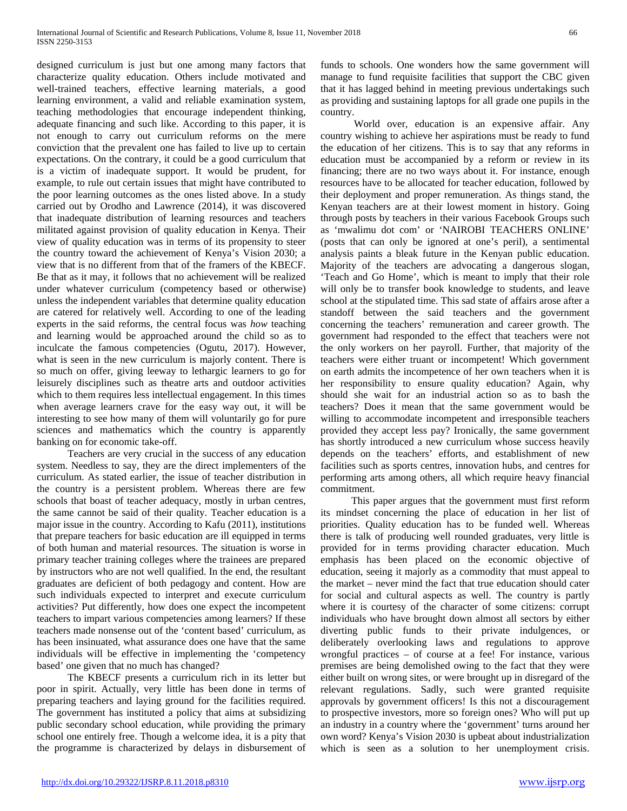designed curriculum is just but one among many factors that characterize quality education. Others include motivated and well-trained teachers, effective learning materials, a good learning environment, a valid and reliable examination system, teaching methodologies that encourage independent thinking, adequate financing and such like. According to this paper, it is not enough to carry out curriculum reforms on the mere conviction that the prevalent one has failed to live up to certain expectations. On the contrary, it could be a good curriculum that is a victim of inadequate support. It would be prudent, for example, to rule out certain issues that might have contributed to the poor learning outcomes as the ones listed above. In a study carried out by Orodho and Lawrence (2014), it was discovered that inadequate distribution of learning resources and teachers militated against provision of quality education in Kenya. Their view of quality education was in terms of its propensity to steer the country toward the achievement of Kenya's Vision 2030; a view that is no different from that of the framers of the KBECF. Be that as it may, it follows that no achievement will be realized under whatever curriculum (competency based or otherwise) unless the independent variables that determine quality education are catered for relatively well. According to one of the leading experts in the said reforms, the central focus was *how* teaching and learning would be approached around the child so as to inculcate the famous competencies (Ogutu, 2017). However, what is seen in the new curriculum is majorly content. There is so much on offer, giving leeway to lethargic learners to go for leisurely disciplines such as theatre arts and outdoor activities which to them requires less intellectual engagement. In this times when average learners crave for the easy way out, it will be interesting to see how many of them will voluntarily go for pure sciences and mathematics which the country is apparently banking on for economic take-off.

 Teachers are very crucial in the success of any education system. Needless to say, they are the direct implementers of the curriculum. As stated earlier, the issue of teacher distribution in the country is a persistent problem. Whereas there are few schools that boast of teacher adequacy, mostly in urban centres, the same cannot be said of their quality. Teacher education is a major issue in the country. According to Kafu (2011), institutions that prepare teachers for basic education are ill equipped in terms of both human and material resources. The situation is worse in primary teacher training colleges where the trainees are prepared by instructors who are not well qualified. In the end, the resultant graduates are deficient of both pedagogy and content. How are such individuals expected to interpret and execute curriculum activities? Put differently, how does one expect the incompetent teachers to impart various competencies among learners? If these teachers made nonsense out of the 'content based' curriculum, as has been insinuated, what assurance does one have that the same individuals will be effective in implementing the 'competency based' one given that no much has changed?

 The KBECF presents a curriculum rich in its letter but poor in spirit. Actually, very little has been done in terms of preparing teachers and laying ground for the facilities required. The government has instituted a policy that aims at subsidizing public secondary school education, while providing the primary school one entirely free. Though a welcome idea, it is a pity that the programme is characterized by delays in disbursement of funds to schools. One wonders how the same government will manage to fund requisite facilities that support the CBC given that it has lagged behind in meeting previous undertakings such as providing and sustaining laptops for all grade one pupils in the country.

 World over, education is an expensive affair. Any country wishing to achieve her aspirations must be ready to fund the education of her citizens. This is to say that any reforms in education must be accompanied by a reform or review in its financing; there are no two ways about it. For instance, enough resources have to be allocated for teacher education, followed by their deployment and proper remuneration. As things stand, the Kenyan teachers are at their lowest moment in history. Going through posts by teachers in their various Facebook Groups such as 'mwalimu dot com' or 'NAIROBI TEACHERS ONLINE' (posts that can only be ignored at one's peril), a sentimental analysis paints a bleak future in the Kenyan public education. Majority of the teachers are advocating a dangerous slogan, 'Teach and Go Home', which is meant to imply that their role will only be to transfer book knowledge to students, and leave school at the stipulated time. This sad state of affairs arose after a standoff between the said teachers and the government concerning the teachers' remuneration and career growth. The government had responded to the effect that teachers were not the only workers on her payroll. Further, that majority of the teachers were either truant or incompetent! Which government on earth admits the incompetence of her own teachers when it is her responsibility to ensure quality education? Again, why should she wait for an industrial action so as to bash the teachers? Does it mean that the same government would be willing to accommodate incompetent and irresponsible teachers provided they accept less pay? Ironically, the same government has shortly introduced a new curriculum whose success heavily depends on the teachers' efforts, and establishment of new facilities such as sports centres, innovation hubs, and centres for performing arts among others, all which require heavy financial commitment.

 This paper argues that the government must first reform its mindset concerning the place of education in her list of priorities. Quality education has to be funded well. Whereas there is talk of producing well rounded graduates, very little is provided for in terms providing character education. Much emphasis has been placed on the economic objective of education, seeing it majorly as a commodity that must appeal to the market – never mind the fact that true education should cater for social and cultural aspects as well. The country is partly where it is courtesy of the character of some citizens: corrupt individuals who have brought down almost all sectors by either diverting public funds to their private indulgences, or deliberately overlooking laws and regulations to approve wrongful practices – of course at a fee! For instance, various premises are being demolished owing to the fact that they were either built on wrong sites, or were brought up in disregard of the relevant regulations. Sadly, such were granted requisite approvals by government officers! Is this not a discouragement to prospective investors, more so foreign ones? Who will put up an industry in a country where the 'government' turns around her own word? Kenya's Vision 2030 is upbeat about industrialization which is seen as a solution to her unemployment crisis.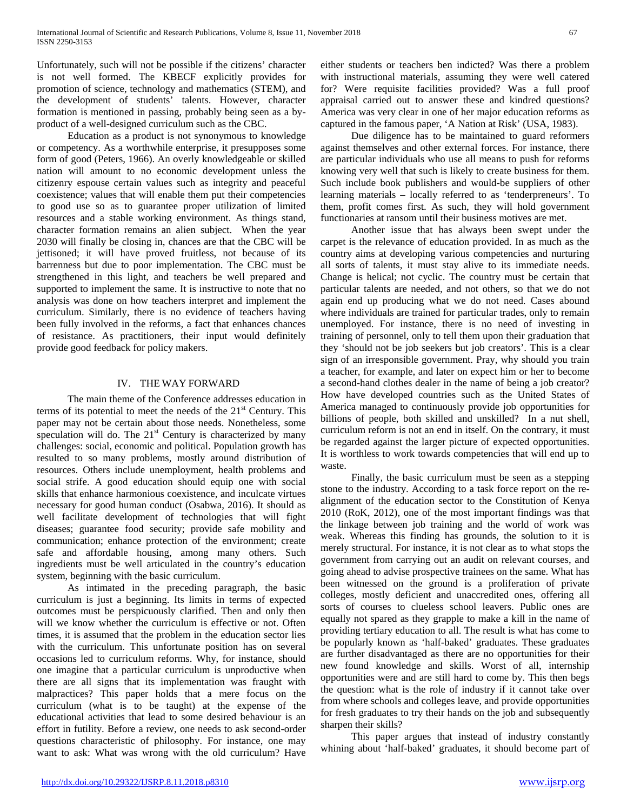Unfortunately, such will not be possible if the citizens' character is not well formed. The KBECF explicitly provides for promotion of science, technology and mathematics (STEM), and the development of students' talents. However, character formation is mentioned in passing, probably being seen as a byproduct of a well-designed curriculum such as the CBC.

 Education as a product is not synonymous to knowledge or competency. As a worthwhile enterprise, it presupposes some form of good (Peters, 1966). An overly knowledgeable or skilled nation will amount to no economic development unless the citizenry espouse certain values such as integrity and peaceful coexistence; values that will enable them put their competencies to good use so as to guarantee proper utilization of limited resources and a stable working environment. As things stand, character formation remains an alien subject. When the year 2030 will finally be closing in, chances are that the CBC will be jettisoned; it will have proved fruitless, not because of its barrenness but due to poor implementation. The CBC must be strengthened in this light, and teachers be well prepared and supported to implement the same. It is instructive to note that no analysis was done on how teachers interpret and implement the curriculum. Similarly, there is no evidence of teachers having been fully involved in the reforms, a fact that enhances chances of resistance. As practitioners, their input would definitely provide good feedback for policy makers.

## IV. THE WAY FORWARD

 The main theme of the Conference addresses education in terms of its potential to meet the needs of the  $21<sup>st</sup>$  Century. This paper may not be certain about those needs. Nonetheless, some speculation will do. The  $21<sup>st</sup>$  Century is characterized by many challenges: social, economic and political. Population growth has resulted to so many problems, mostly around distribution of resources. Others include unemployment, health problems and social strife. A good education should equip one with social skills that enhance harmonious coexistence, and inculcate virtues necessary for good human conduct (Osabwa, 2016). It should as well facilitate development of technologies that will fight diseases; guarantee food security; provide safe mobility and communication; enhance protection of the environment; create safe and affordable housing, among many others. Such ingredients must be well articulated in the country's education system, beginning with the basic curriculum.

 As intimated in the preceding paragraph, the basic curriculum is just a beginning. Its limits in terms of expected outcomes must be perspicuously clarified. Then and only then will we know whether the curriculum is effective or not. Often times, it is assumed that the problem in the education sector lies with the curriculum. This unfortunate position has on several occasions led to curriculum reforms. Why, for instance, should one imagine that a particular curriculum is unproductive when there are all signs that its implementation was fraught with malpractices? This paper holds that a mere focus on the curriculum (what is to be taught) at the expense of the educational activities that lead to some desired behaviour is an effort in futility. Before a review, one needs to ask second-order questions characteristic of philosophy. For instance, one may want to ask: What was wrong with the old curriculum? Have either students or teachers ben indicted? Was there a problem with instructional materials, assuming they were well catered for? Were requisite facilities provided? Was a full proof appraisal carried out to answer these and kindred questions? America was very clear in one of her major education reforms as captured in the famous paper, 'A Nation at Risk' (USA, 1983).

 Due diligence has to be maintained to guard reformers against themselves and other external forces. For instance, there are particular individuals who use all means to push for reforms knowing very well that such is likely to create business for them. Such include book publishers and would-be suppliers of other learning materials – locally referred to as 'tenderpreneurs'. To them, profit comes first. As such, they will hold government functionaries at ransom until their business motives are met.

 Another issue that has always been swept under the carpet is the relevance of education provided. In as much as the country aims at developing various competencies and nurturing all sorts of talents, it must stay alive to its immediate needs. Change is helical; not cyclic. The country must be certain that particular talents are needed, and not others, so that we do not again end up producing what we do not need. Cases abound where individuals are trained for particular trades, only to remain unemployed. For instance, there is no need of investing in training of personnel, only to tell them upon their graduation that they 'should not be job seekers but job creators'. This is a clear sign of an irresponsible government. Pray, why should you train a teacher, for example, and later on expect him or her to become a second-hand clothes dealer in the name of being a job creator? How have developed countries such as the United States of America managed to continuously provide job opportunities for billions of people, both skilled and unskilled? In a nut shell, curriculum reform is not an end in itself. On the contrary, it must be regarded against the larger picture of expected opportunities. It is worthless to work towards competencies that will end up to waste.

 Finally, the basic curriculum must be seen as a stepping stone to the industry. According to a task force report on the realignment of the education sector to the Constitution of Kenya 2010 (RoK, 2012), one of the most important findings was that the linkage between job training and the world of work was weak. Whereas this finding has grounds, the solution to it is merely structural. For instance, it is not clear as to what stops the government from carrying out an audit on relevant courses, and going ahead to advise prospective trainees on the same. What has been witnessed on the ground is a proliferation of private colleges, mostly deficient and unaccredited ones, offering all sorts of courses to clueless school leavers. Public ones are equally not spared as they grapple to make a kill in the name of providing tertiary education to all. The result is what has come to be popularly known as 'half-baked' graduates. These graduates are further disadvantaged as there are no opportunities for their new found knowledge and skills. Worst of all, internship opportunities were and are still hard to come by. This then begs the question: what is the role of industry if it cannot take over from where schools and colleges leave, and provide opportunities for fresh graduates to try their hands on the job and subsequently sharpen their skills?

 This paper argues that instead of industry constantly whining about 'half-baked' graduates, it should become part of